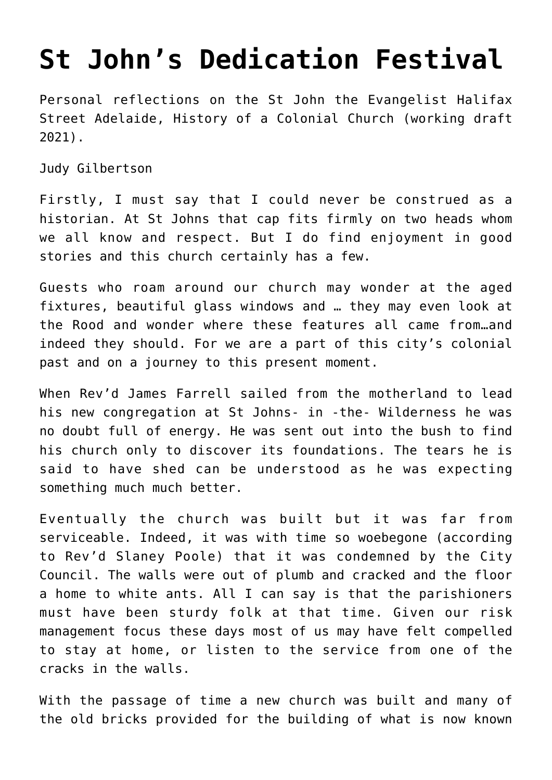## **[St John's Dedication Festival](http://stjohnsadelaide.org.au/st-johns-dedication-festival-2/)**

Personal reflections on the St John the Evangelist Halifax Street Adelaide, History of a Colonial Church (working draft 2021).

Judy Gilbertson

Firstly, I must say that I could never be construed as a historian. At St Johns that cap fits firmly on two heads whom we all know and respect. But I do find enjoyment in good stories and this church certainly has a few.

Guests who roam around our church may wonder at the aged fixtures, beautiful glass windows and … they may even look at the Rood and wonder where these features all came from…and indeed they should. For we are a part of this city's colonial past and on a journey to this present moment.

When Rev'd James Farrell sailed from the motherland to lead his new congregation at St Johns- in -the- Wilderness he was no doubt full of energy. He was sent out into the bush to find his church only to discover its foundations. The tears he is said to have shed can be understood as he was expecting something much much better.

Eventually the church was built but it was far from serviceable. Indeed, it was with time so woebegone (according to Rev'd Slaney Poole) that it was condemned by the City Council. The walls were out of plumb and cracked and the floor a home to white ants. All I can say is that the parishioners must have been sturdy folk at that time. Given our risk management focus these days most of us may have felt compelled to stay at home, or listen to the service from one of the cracks in the walls.

With the passage of time a new church was built and many of the old bricks provided for the building of what is now known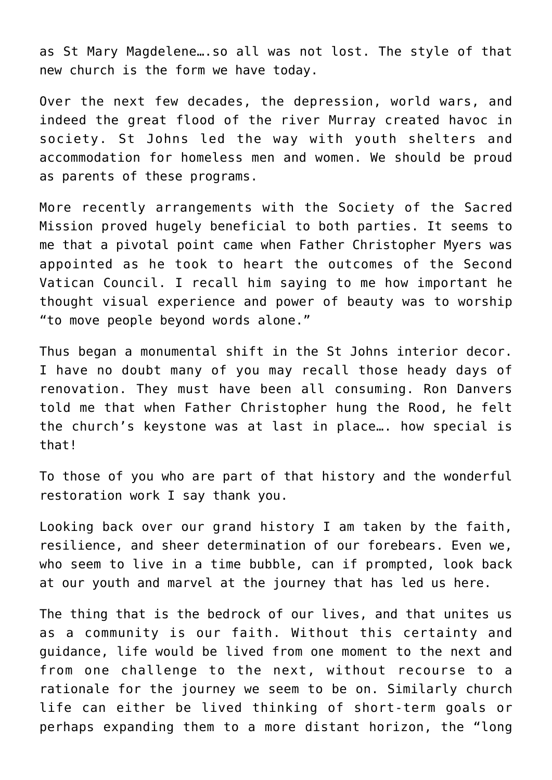as St Mary Magdelene….so all was not lost. The style of that new church is the form we have today.

Over the next few decades, the depression, world wars, and indeed the great flood of the river Murray created havoc in society. St Johns led the way with youth shelters and accommodation for homeless men and women. We should be proud as parents of these programs.

More recently arrangements with the Society of the Sacred Mission proved hugely beneficial to both parties. It seems to me that a pivotal point came when Father Christopher Myers was appointed as he took to heart the outcomes of the Second Vatican Council. I recall him saying to me how important he thought visual experience and power of beauty was to worship "to move people beyond words alone."

Thus began a monumental shift in the St Johns interior decor. I have no doubt many of you may recall those heady days of renovation. They must have been all consuming. Ron Danvers told me that when Father Christopher hung the Rood, he felt the church's keystone was at last in place…. how special is that!

To those of you who are part of that history and the wonderful restoration work I say thank you.

Looking back over our grand history I am taken by the faith, resilience, and sheer determination of our forebears. Even we, who seem to live in a time bubble, can if prompted, look back at our youth and marvel at the journey that has led us here.

The thing that is the bedrock of our lives, and that unites us as a community is our faith. Without this certainty and guidance, life would be lived from one moment to the next and from one challenge to the next, without recourse to a rationale for the journey we seem to be on. Similarly church life can either be lived thinking of short-term goals or perhaps expanding them to a more distant horizon, the "long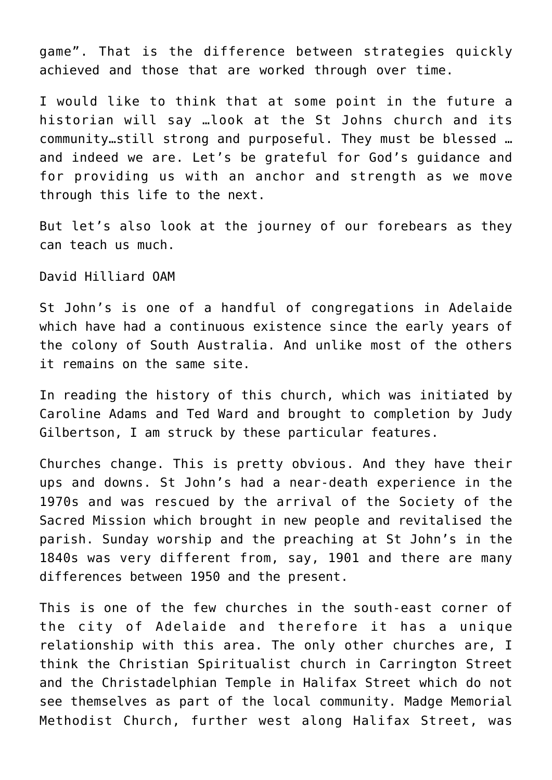game". That is the difference between strategies quickly achieved and those that are worked through over time.

I would like to think that at some point in the future a historian will say …look at the St Johns church and its community…still strong and purposeful. They must be blessed … and indeed we are. Let's be grateful for God's guidance and for providing us with an anchor and strength as we move through this life to the next.

But let's also look at the journey of our forebears as they can teach us much.

David Hilliard OAM

St John's is one of a handful of congregations in Adelaide which have had a continuous existence since the early years of the colony of South Australia. And unlike most of the others it remains on the same site.

In reading the history of this church, which was initiated by Caroline Adams and Ted Ward and brought to completion by Judy Gilbertson, I am struck by these particular features.

Churches change. This is pretty obvious. And they have their ups and downs. St John's had a near-death experience in the 1970s and was rescued by the arrival of the Society of the Sacred Mission which brought in new people and revitalised the parish. Sunday worship and the preaching at St John's in the 1840s was very different from, say, 1901 and there are many differences between 1950 and the present.

This is one of the few churches in the south-east corner of the city of Adelaide and therefore it has a unique relationship with this area. The only other churches are, I think the Christian Spiritualist church in Carrington Street and the Christadelphian Temple in Halifax Street which do not see themselves as part of the local community. Madge Memorial Methodist Church, further west along Halifax Street, was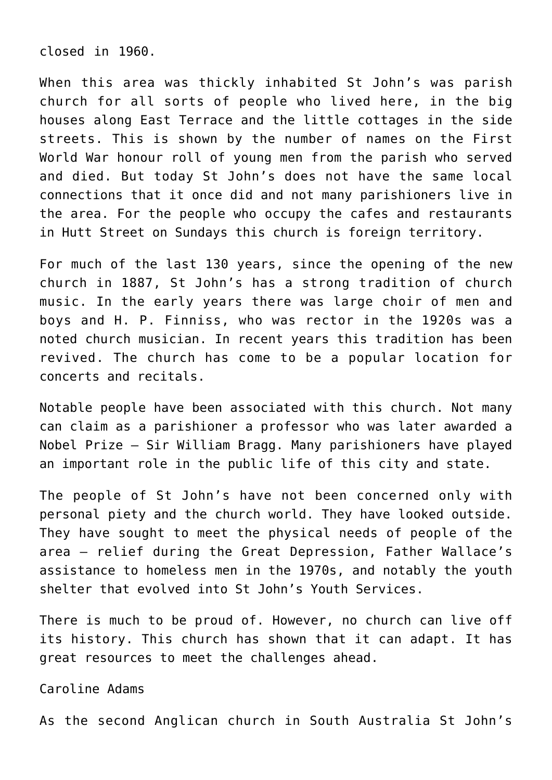closed in 1960.

When this area was thickly inhabited St John's was parish church for all sorts of people who lived here, in the big houses along East Terrace and the little cottages in the side streets. This is shown by the number of names on the First World War honour roll of young men from the parish who served and died. But today St John's does not have the same local connections that it once did and not many parishioners live in the area. For the people who occupy the cafes and restaurants in Hutt Street on Sundays this church is foreign territory.

For much of the last 130 years, since the opening of the new church in 1887, St John's has a strong tradition of church music. In the early years there was large choir of men and boys and H. P. Finniss, who was rector in the 1920s was a noted church musician. In recent years this tradition has been revived. The church has come to be a popular location for concerts and recitals.

Notable people have been associated with this church. Not many can claim as a parishioner a professor who was later awarded a Nobel Prize – Sir William Bragg. Many parishioners have played an important role in the public life of this city and state.

The people of St John's have not been concerned only with personal piety and the church world. They have looked outside. They have sought to meet the physical needs of people of the area – relief during the Great Depression, Father Wallace's assistance to homeless men in the 1970s, and notably the youth shelter that evolved into St John's Youth Services.

There is much to be proud of. However, no church can live off its history. This church has shown that it can adapt. It has great resources to meet the challenges ahead.

Caroline Adams

As the second Anglican church in South Australia St John's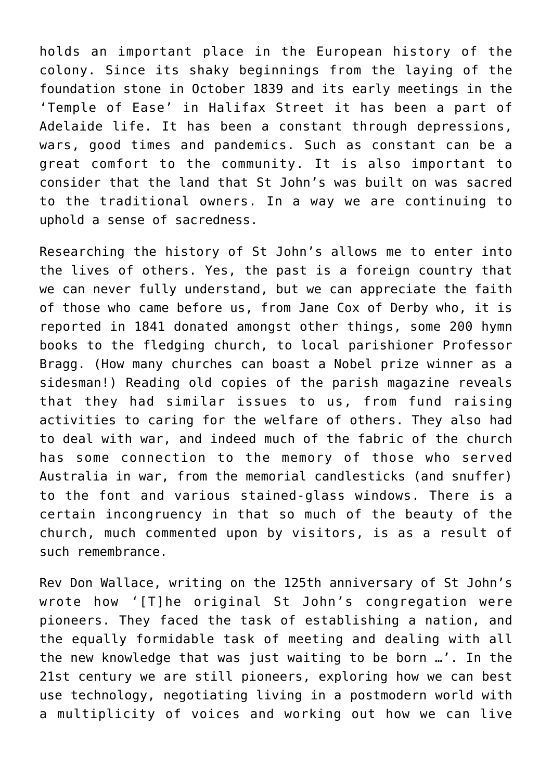holds an important place in the European history of the colony. Since its shaky beginnings from the laying of the foundation stone in October 1839 and its early meetings in the 'Temple of Ease' in Halifax Street it has been a part of Adelaide life. It has been a constant through depressions, wars, good times and pandemics. Such as constant can be a great comfort to the community. It is also important to consider that the land that St John's was built on was sacred to the traditional owners. In a way we are continuing to uphold a sense of sacredness.

Researching the history of St John's allows me to enter into the lives of others. Yes, the past is a foreign country that we can never fully understand, but we can appreciate the faith of those who came before us, from Jane Cox of Derby who, it is reported in 1841 donated amongst other things, some 200 hymn books to the fledging church, to local parishioner Professor Bragg. (How many churches can boast a Nobel prize winner as a sidesman!) Reading old copies of the parish magazine reveals that they had similar issues to us, from fund raising activities to caring for the welfare of others. They also had to deal with war, and indeed much of the fabric of the church has some connection to the memory of those who served Australia in war, from the memorial candlesticks (and snuffer) to the font and various stained-glass windows. There is a certain incongruency in that so much of the beauty of the church, much commented upon by visitors, is as a result of such remembrance.

Rev Don Wallace, writing on the 125th anniversary of St John's wrote how '[T]he original St John's congregation were pioneers. They faced the task of establishing a nation, and the equally formidable task of meeting and dealing with all the new knowledge that was just waiting to be born …'. In the 21st century we are still pioneers, exploring how we can best use technology, negotiating living in a postmodern world with a multiplicity of voices and working out how we can live